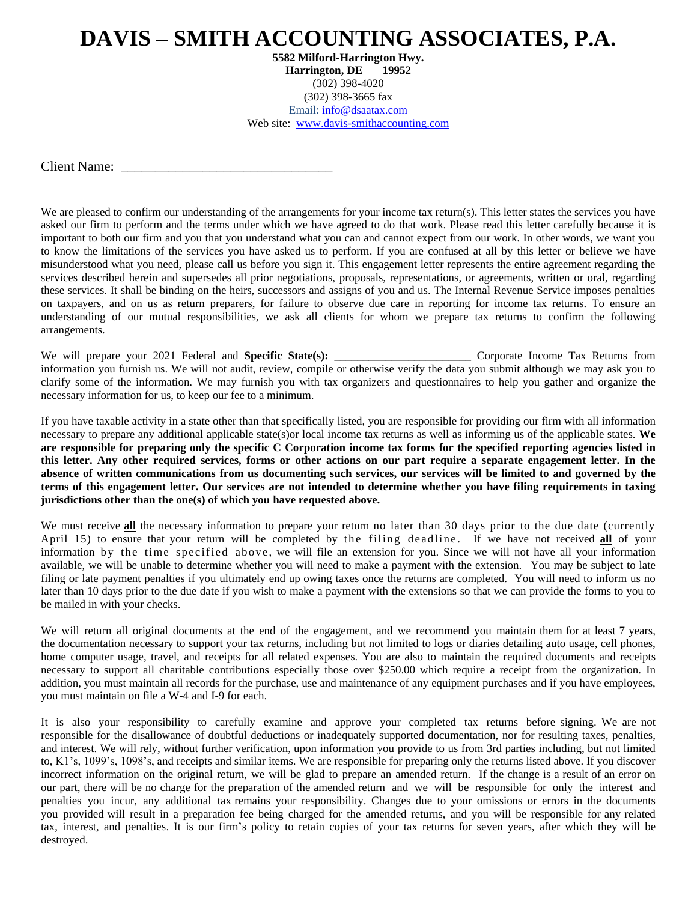## **DAVIS – SMITH ACCOUNTING ASSOCIATES, P.A.**

**5582 Milford-Harrington Hwy. Harrington, DE 19952** (302) 398-4020 (302) 398-3665 fax Email: [info@dsaatax.com](mailto:info@dsaatax.com) Web site: [www.davis-smithaccounting.com](http://www.davis-smithaccounting.com/)

Client Name:

We are pleased to confirm our understanding of the arrangements for your income tax return(s). This letter states the services you have asked our firm to perform and the terms under which we have agreed to do that work. Please read this letter carefully because it is important to both our firm and you that you understand what you can and cannot expect from our work. In other words, we want you to know the limitations of the services you have asked us to perform. If you are confused at all by this letter or believe we have misunderstood what you need, please call us before you sign it. This engagement letter represents the entire agreement regarding the services described herein and supersedes all prior negotiations, proposals, representations, or agreements, written or oral, regarding these services. It shall be binding on the heirs, successors and assigns of you and us. The Internal Revenue Service imposes penalties on taxpayers, and on us as return preparers, for failure to observe due care in reporting for income tax returns. To ensure an understanding of our mutual responsibilities, we ask all clients for whom we prepare tax returns to confirm the following arrangements.

We will prepare your 2021 Federal and **Specific State(s):** \_\_\_\_\_\_\_\_\_\_\_\_\_\_\_\_\_\_\_\_\_\_ Corporate Income Tax Returns from information you furnish us. We will not audit, review, compile or otherwise verify the data you submit although we may ask you to clarify some of the information. We may furnish you with tax organizers and questionnaires to help you gather and organize the necessary information for us, to keep our fee to a minimum.

If you have taxable activity in a state other than that specifically listed, you are responsible for providing our firm with all information necessary to prepare any additional applicable state(s)or local income tax returns as well as informing us of the applicable states. **We are responsible for preparing only the specific C Corporation income tax forms for the specified reporting agencies listed in this letter. Any other required services, forms or other actions on our part require a separate engagement letter. In the absence of written communications from us documenting such services, our services will be limited to and governed by the terms of this engagement letter. Our services are not intended to determine whether you have filing requirements in taxing jurisdictions other than the one(s) of which you have requested above.** 

We must receive **all** the necessary information to prepare your return no later than 30 days prior to the due date (currently April 15) to ensure that your return will be completed by the filing deadline. If we have not received all of your information by the time specified above , we will file an extension for you. Since we will not have all your information available, we will be unable to determine whether you will need to make a payment with the extension. You may be subject to late filing or late payment penalties if you ultimately end up owing taxes once the returns are completed. You will need to inform us no later than 10 days prior to the due date if you wish to make a payment with the extensions so that we can provide the forms to you to be mailed in with your checks.

We will return all original documents at the end of the engagement, and we recommend you maintain them for at least 7 years, the documentation necessary to support your tax returns, including but not limited to logs or diaries detailing auto usage, cell phones, home computer usage, travel, and receipts for all related expenses. You are also to maintain the required documents and receipts necessary to support all charitable contributions especially those over \$250.00 which require a receipt from the organization. In addition, you must maintain all records for the purchase, use and maintenance of any equipment purchases and if you have employees, you must maintain on file a W-4 and I-9 for each.

It is also your responsibility to carefully examine and approve your completed tax returns before signing. We are not responsible for the disallowance of doubtful deductions or inadequately supported documentation, nor for resulting taxes, penalties, and interest. We will rely, without further verification, upon information you provide to us from 3rd parties including, but not limited to, K1's, 1099's, 1098's, and receipts and similar items. We are responsible for preparing only the returns listed above. If you discover incorrect information on the original return, we will be glad to prepare an amended return. If the change is a result of an error on our part, there will be no charge for the preparation of the amended return and we will be responsible for only the interest and penalties you incur, any additional tax remains your responsibility. Changes due to your omissions or errors in the documents you provided will result in a preparation fee being charged for the amended returns, and you will be responsible for any related tax, interest, and penalties. It is our firm's policy to retain copies of your tax returns for seven years, after which they will be destroyed.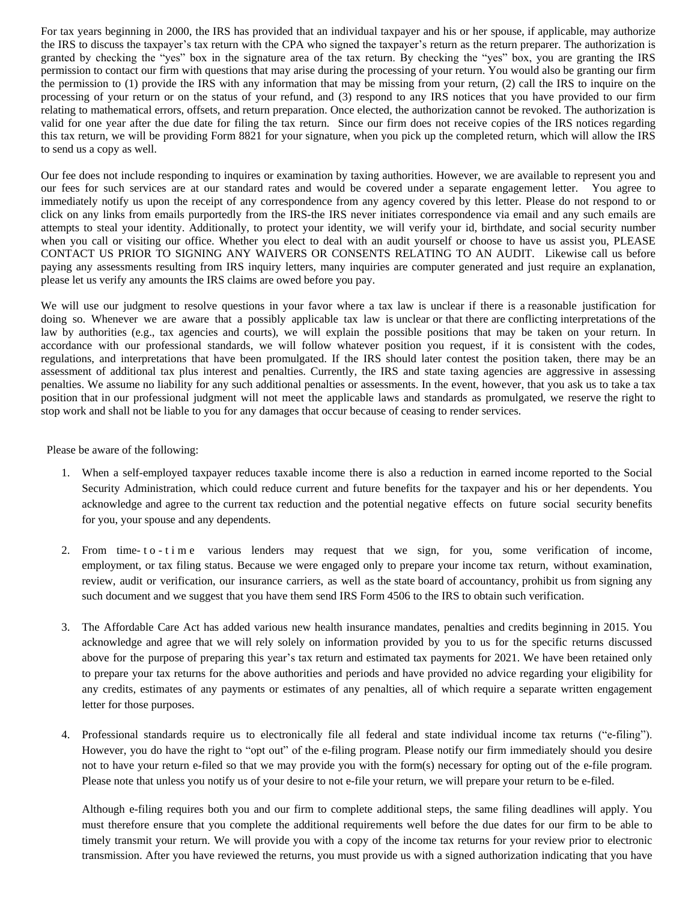For tax years beginning in 2000, the IRS has provided that an individual taxpayer and his or her spouse, if applicable, may authorize the IRS to discuss the taxpayer's tax return with the CPA who signed the taxpayer's return as the return preparer. The authorization is granted by checking the "yes" box in the signature area of the tax return. By checking the "yes" box, you are granting the IRS permission to contact our firm with questions that may arise during the processing of your return. You would also be granting our firm the permission to (1) provide the IRS with any information that may be missing from your return, (2) call the IRS to inquire on the processing of your return or on the status of your refund, and (3) respond to any IRS notices that you have provided to our firm relating to mathematical errors, offsets, and return preparation. Once elected, the authorization cannot be revoked. The authorization is valid for one year after the due date for filing the tax return. Since our firm does not receive copies of the IRS notices regarding this tax return, we will be providing Form 8821 for your signature, when you pick up the completed return, which will allow the IRS to send us a copy as well.

Our fee does not include responding to inquires or examination by taxing authorities. However, we are available to represent you and our fees for such services are at our standard rates and would be covered under a separate engagement letter. You agree to immediately notify us upon the receipt of any correspondence from any agency covered by this letter. Please do not respond to or click on any links from emails purportedly from the IRS-the IRS never initiates correspondence via email and any such emails are attempts to steal your identity. Additionally, to protect your identity, we will verify your id, birthdate, and social security number when you call or visiting our office. Whether you elect to deal with an audit yourself or choose to have us assist you, PLEASE CONTACT US PRIOR TO SIGNING ANY WAIVERS OR CONSENTS RELATING TO AN AUDIT. Likewise call us before paying any assessments resulting from IRS inquiry letters, many inquiries are computer generated and just require an explanation, please let us verify any amounts the IRS claims are owed before you pay.

We will use our judgment to resolve questions in your favor where a tax law is unclear if there is a reasonable justification for doing so. Whenever we are aware that a possibly applicable tax law is unclear or that there are conflicting interpretations of the law by authorities (e.g., tax agencies and courts), we will explain the possible positions that may be taken on your return. In accordance with our professional standards, we will follow whatever position you request, if it is consistent with the codes, regulations, and interpretations that have been promulgated. If the IRS should later contest the position taken, there may be an assessment of additional tax plus interest and penalties. Currently, the IRS and state taxing agencies are aggressive in assessing penalties. We assume no liability for any such additional penalties or assessments. In the event, however, that you ask us to take a tax position that in our professional judgment will not meet the applicable laws and standards as promulgated, we reserve the right to stop work and shall not be liable to you for any damages that occur because of ceasing to render services.

Please be aware of the following:

- 1. When a self-employed taxpayer reduces taxable income there is also a reduction in earned income reported to the Social Security Administration, which could reduce current and future benefits for the taxpayer and his or her dependents. You acknowledge and agree to the current tax reduction and the potential negative effects on future social security benefits for you, your spouse and any dependents.
- 2. From time- t o t i m e various lenders may request that we sign, for you, some verification of income, employment, or tax filing status. Because we were engaged only to prepare your income tax return, without examination, review, audit or verification, our insurance carriers, as well as the state board of accountancy, prohibit us from signing any such document and we suggest that you have them send IRS Form 4506 to the IRS to obtain such verification.
- 3. The Affordable Care Act has added various new health insurance mandates, penalties and credits beginning in 2015. You acknowledge and agree that we will rely solely on information provided by you to us for the specific returns discussed above for the purpose of preparing this year's tax return and estimated tax payments for 2021. We have been retained only to prepare your tax returns for the above authorities and periods and have provided no advice regarding your eligibility for any credits, estimates of any payments or estimates of any penalties, all of which require a separate written engagement letter for those purposes.
- 4. Professional standards require us to electronically file all federal and state individual income tax returns ("e-filing"). However, you do have the right to "opt out" of the e-filing program. Please notify our firm immediately should you desire not to have your return e-filed so that we may provide you with the form(s) necessary for opting out of the e-file program. Please note that unless you notify us of your desire to not e-file your return, we will prepare your return to be e-filed.

Although e-filing requires both you and our firm to complete additional steps, the same filing deadlines will apply. You must therefore ensure that you complete the additional requirements well before the due dates for our firm to be able to timely transmit your return. We will provide you with a copy of the income tax returns for your review prior to electronic transmission. After you have reviewed the returns, you must provide us with a signed authorization indicating that you have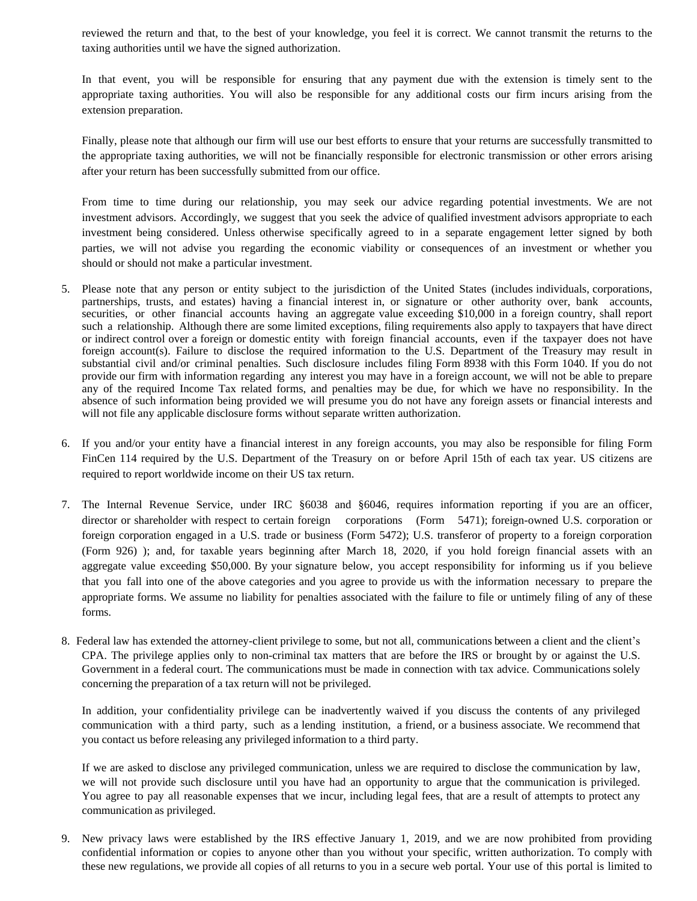reviewed the return and that, to the best of your knowledge, you feel it is correct. We cannot transmit the returns to the taxing authorities until we have the signed authorization.

In that event, you will be responsible for ensuring that any payment due with the extension is timely sent to the appropriate taxing authorities. You will also be responsible for any additional costs our firm incurs arising from the extension preparation.

Finally, please note that although our firm will use our best efforts to ensure that your returns are successfully transmitted to the appropriate taxing authorities, we will not be financially responsible for electronic transmission or other errors arising after your return has been successfully submitted from our office.

From time to time during our relationship, you may seek our advice regarding potential investments. We are not investment advisors. Accordingly, we suggest that you seek the advice of qualified investment advisors appropriate to each investment being considered. Unless otherwise specifically agreed to in a separate engagement letter signed by both parties, we will not advise you regarding the economic viability or consequences of an investment or whether you should or should not make a particular investment.

- 5. Please note that any person or entity subject to the jurisdiction of the United States (includes individuals, corporations, partnerships, trusts, and estates) having a financial interest in, or signature or other authority over, bank accounts, securities, or other financial accounts having an aggregate value exceeding \$10,000 in a foreign country, shall report such a relationship. Although there are some limited exceptions, filing requirements also apply to taxpayers that have direct or indirect control over a foreign or domestic entity with foreign financial accounts, even if the taxpayer does not have foreign account(s). Failure to disclose the required information to the U.S. Department of the Treasury may result in substantial civil and/or criminal penalties. Such disclosure includes filing Form 8938 with this Form 1040. If you do not provide our firm with information regarding any interest you may have in a foreign account, we will not be able to prepare any of the required Income Tax related forms, and penalties may be due, for which we have no responsibility. In the absence of such information being provided we will presume you do not have any foreign assets or financial interests and will not file any applicable disclosure forms without separate written authorization.
- 6. If you and/or your entity have a financial interest in any foreign accounts, you may also be responsible for filing Form FinCen 114 required by the U.S. Department of the Treasury on or before April 15th of each tax year. US citizens are required to report worldwide income on their US tax return.
- 7. The Internal Revenue Service, under IRC §6038 and §6046, requires information reporting if you are an officer, director or shareholder with respect to certain foreign corporations (Form 5471); foreign-owned U.S. corporation or foreign corporation engaged in a U.S. trade or business (Form 5472); U.S. transferor of property to a foreign corporation (Form 926) ); and, for taxable years beginning after March 18, 2020, if you hold foreign financial assets with an aggregate value exceeding \$50,000. By your signature below, you accept responsibility for informing us if you believe that you fall into one of the above categories and you agree to provide us with the information necessary to prepare the appropriate forms. We assume no liability for penalties associated with the failure to file or untimely filing of any of these forms.
- 8. Federal law has extended the attorney-client privilege to some, but not all, communications between a client and the client's CPA. The privilege applies only to non-criminal tax matters that are before the IRS or brought by or against the U.S. Government in a federal court. The communications must be made in connection with tax advice. Communications solely concerning the preparation of a tax return will not be privileged.

In addition, your confidentiality privilege can be inadvertently waived if you discuss the contents of any privileged communication with a third party, such as a lending institution, a friend, or a business associate. We recommend that you contact us before releasing any privileged information to a third party.

If we are asked to disclose any privileged communication, unless we are required to disclose the communication by law, we will not provide such disclosure until you have had an opportunity to argue that the communication is privileged. You agree to pay all reasonable expenses that we incur, including legal fees, that are a result of attempts to protect any communication as privileged.

9. New privacy laws were established by the IRS effective January 1, 2019, and we are now prohibited from providing confidential information or copies to anyone other than you without your specific, written authorization. To comply with these new regulations, we provide all copies of all returns to you in a secure web portal. Your use of this portal is limited to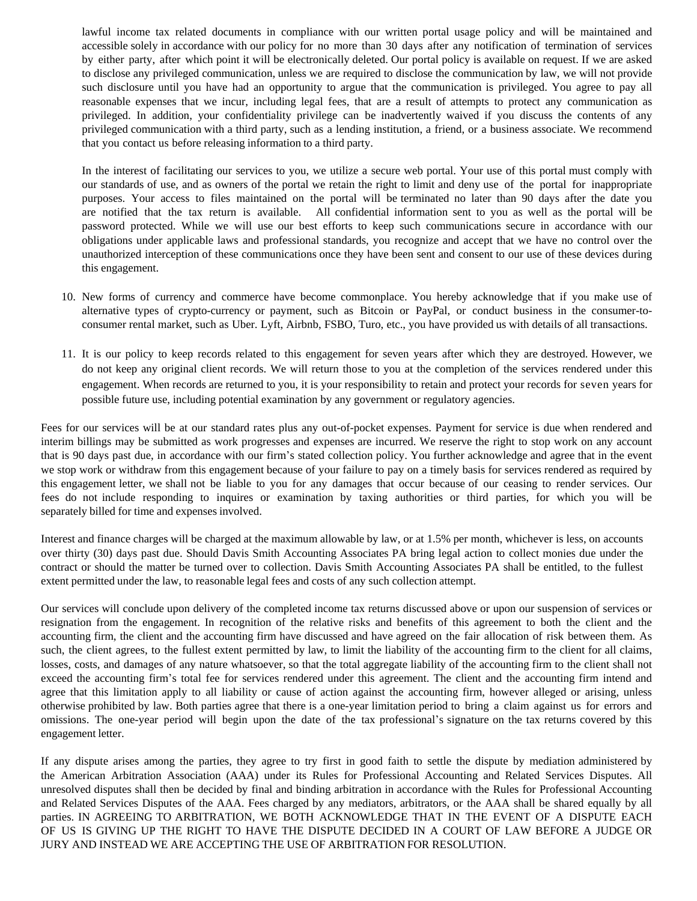lawful income tax related documents in compliance with our written portal usage policy and will be maintained and accessible solely in accordance with our policy for no more than 30 days after any notification of termination of services by either party, after which point it will be electronically deleted. Our portal policy is available on request. If we are asked to disclose any privileged communication, unless we are required to disclose the communication by law, we will not provide such disclosure until you have had an opportunity to argue that the communication is privileged. You agree to pay all reasonable expenses that we incur, including legal fees, that are a result of attempts to protect any communication as privileged. In addition, your confidentiality privilege can be inadvertently waived if you discuss the contents of any privileged communication with a third party, such as a lending institution, a friend, or a business associate. We recommend that you contact us before releasing information to a third party.

In the interest of facilitating our services to you, we utilize a secure web portal. Your use of this portal must comply with our standards of use, and as owners of the portal we retain the right to limit and deny use of the portal for inappropriate purposes. Your access to files maintained on the portal will be terminated no later than 90 days after the date you are notified that the tax return is available. All confidential information sent to you as well as the portal will be password protected. While we will use our best efforts to keep such communications secure in accordance with our obligations under applicable laws and professional standards, you recognize and accept that we have no control over the unauthorized interception of these communications once they have been sent and consent to our use of these devices during this engagement.

- 10. New forms of currency and commerce have become commonplace. You hereby acknowledge that if you make use of alternative types of crypto-currency or payment, such as Bitcoin or PayPal, or conduct business in the consumer-toconsumer rental market, such as Uber. Lyft, Airbnb, FSBO, Turo, etc., you have provided us with details of all transactions.
- 11. It is our policy to keep records related to this engagement for seven years after which they are destroyed. However, we do not keep any original client records. We will return those to you at the completion of the services rendered under this engagement. When records are returned to you, it is your responsibility to retain and protect your records for seven years for possible future use, including potential examination by any government or regulatory agencies.

Fees for our services will be at our standard rates plus any out-of-pocket expenses. Payment for service is due when rendered and interim billings may be submitted as work progresses and expenses are incurred. We reserve the right to stop work on any account that is 90 days past due, in accordance with our firm's stated collection policy. You further acknowledge and agree that in the event we stop work or withdraw from this engagement because of your failure to pay on a timely basis for services rendered as required by this engagement letter, we shall not be liable to you for any damages that occur because of our ceasing to render services. Our fees do not include responding to inquires or examination by taxing authorities or third parties, for which you will be separately billed for time and expenses involved.

Interest and finance charges will be charged at the maximum allowable by law, or at 1.5% per month, whichever is less, on accounts over thirty (30) days past due. Should Davis Smith Accounting Associates PA bring legal action to collect monies due under the contract or should the matter be turned over to collection. Davis Smith Accounting Associates PA shall be entitled, to the fullest extent permitted under the law, to reasonable legal fees and costs of any such collection attempt.

Our services will conclude upon delivery of the completed income tax returns discussed above or upon our suspension of services or resignation from the engagement. In recognition of the relative risks and benefits of this agreement to both the client and the accounting firm, the client and the accounting firm have discussed and have agreed on the fair allocation of risk between them. As such, the client agrees, to the fullest extent permitted by law, to limit the liability of the accounting firm to the client for all claims, losses, costs, and damages of any nature whatsoever, so that the total aggregate liability of the accounting firm to the client shall not exceed the accounting firm's total fee for services rendered under this agreement. The client and the accounting firm intend and agree that this limitation apply to all liability or cause of action against the accounting firm, however alleged or arising, unless otherwise prohibited by law. Both parties agree that there is a one-year limitation period to bring a claim against us for errors and omissions. The one-year period will begin upon the date of the tax professional's signature on the tax returns covered by this engagement letter.

If any dispute arises among the parties, they agree to try first in good faith to settle the dispute by mediation administered by the American Arbitration Association (AAA) under its Rules for Professional Accounting and Related Services Disputes. All unresolved disputes shall then be decided by final and binding arbitration in accordance with the Rules for Professional Accounting and Related Services Disputes of the AAA. Fees charged by any mediators, arbitrators, or the AAA shall be shared equally by all parties. IN AGREEING TO ARBITRATION, WE BOTH ACKNOWLEDGE THAT IN THE EVENT OF A DISPUTE EACH OF US IS GIVING UP THE RIGHT TO HAVE THE DISPUTE DECIDED IN A COURT OF LAW BEFORE A JUDGE OR JURY AND INSTEAD WE ARE ACCEPTING THE USE OF ARBITRATION FOR RESOLUTION.